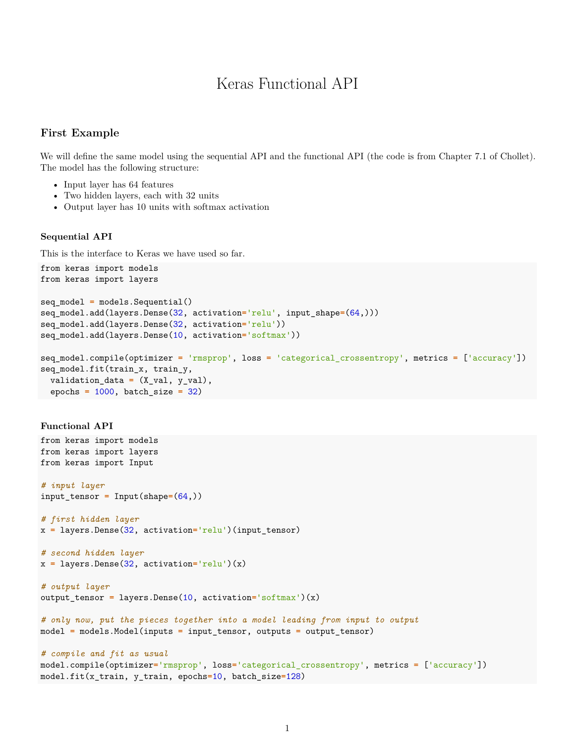# Keras Functional API

#### **First Example**

We will define the same model using the sequential API and the functional API (the code is from Chapter 7.1 of Chollet). The model has the following structure:

- Input layer has 64 features
- Two hidden layers, each with 32 units
- Output layer has 10 units with softmax activation

#### **Sequential API**

This is the interface to Keras we have used so far.

```
from keras import models
from keras import layers
seq_model = models.Sequential()
seq_model.add(layers.Dense(32, activation='relu', input_shape=(64,)))
seq_model.add(layers.Dense(32, activation='relu'))
seq_model.add(layers.Dense(10, activation='softmax'))
seq_model.compile(optimizer = 'rmsprop', loss = 'categorical_crossentropy', metrics = ['accuracy'])
seq model.fit(train x, train y,
  validation_data = (X_val, y_val),
  epochs = 1000, batch_size = 32)
```
#### **Functional API**

```
from keras import models
from keras import layers
from keras import Input
# input layer
input_tensor = Input(shape=(64,))
# first hidden layer
x = layers.Dense(32, activation='relu')(input_tensor)
# second hidden layer
x = layers.Dense(32, activation='relu')(x)
# output layer
output_tensor = layers.Dense(10, activation='softmax')(x)
# only now, put the pieces together into a model leading from input to output
model = models.Model(inputs = input_tensor, outputs = output_tensor)
# compile and fit as usual
model.compile(optimizer='rmsprop', loss='categorical_crossentropy', metrics = ['accuracy'])
model.fit(x_train, y_train, epochs=10, batch_size=128)
```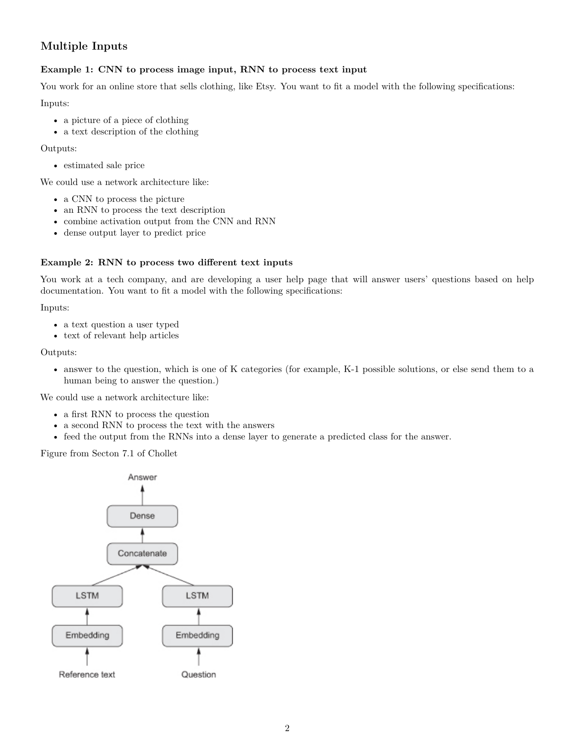## **Multiple Inputs**

### **Example 1: CNN to process image input, RNN to process text input**

You work for an online store that sells clothing, like Etsy. You want to fit a model with the following specifications:

Inputs:

- a picture of a piece of clothing
- a text description of the clothing

Outputs:

• estimated sale price

We could use a network architecture like:

- a CNN to process the picture
- an RNN to process the text description
- combine activation output from the CNN and RNN
- dense output layer to predict price

#### **Example 2: RNN to process two different text inputs**

You work at a tech company, and are developing a user help page that will answer users' questions based on help documentation. You want to fit a model with the following specifications:

Inputs:

- a text question a user typed
- text of relevant help articles

Outputs:

• answer to the question, which is one of K categories (for example, K-1 possible solutions, or else send them to a human being to answer the question.)

We could use a network architecture like:

- a first RNN to process the question
- a second RNN to process the text with the answers
- feed the output from the RNNs into a dense layer to generate a predicted class for the answer.

Figure from Secton 7.1 of Chollet

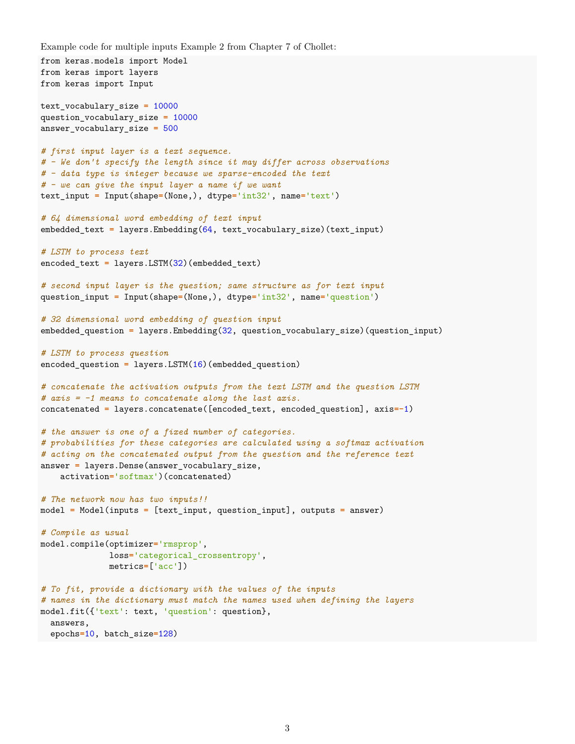```
Example code for multiple inputs Example 2 from Chapter 7 of Chollet:
```

```
from keras.models import Model
from keras import layers
from keras import Input
text_vocabulary_size = 10000
question_vocabulary_size = 10000
answer_vocabulary_size = 500
# first input layer is a text sequence.
# - We don't specify the length since it may differ across observations
# - data type is integer because we sparse-encoded the text
# - we can give the input layer a name if we want
text_input = Input(shape=(None,), dtype='int32', name='text')
# 64 dimensional word embedding of text input
embedded_text = layers.Embedding(64, text_vocabulary_size)(text_input)
# LSTM to process text
encoded_text = layers.LSTM(32)(embedded_text)
# second input layer is the question; same structure as for text input
question_input = Input(shape=(None,), dtype='int32', name='question')
# 32 dimensional word embedding of question input
embedded_question = layers.Embedding(32, question_vocabulary_size)(question_input)
# LSTM to process question
encoded_question = layers.LSTM(16)(embedded_question)
# concatenate the activation outputs from the text LSTM and the question LSTM
# axis = -1 means to concatenate along the last axis.
concatenated = layers.concatenate([encoded_text, encoded_question], axis=-1)
# the answer is one of a fixed number of categories.
# probabilities for these categories are calculated using a softmax activation
# acting on the concatenated output from the question and the reference text
answer = layers.Dense(answer_vocabulary_size,
   activation='softmax')(concatenated)
# The network now has two inputs!!
model = Model(inputs = [text_input, question_input], outputs = answer)
# Compile as usual
model.compile(optimizer='rmsprop',
              loss='categorical_crossentropy',
              metrics=['acc'])
# To fit, provide a dictionary with the values of the inputs
# names in the dictionary must match the names used when defining the layers
model.fit({'text': text, 'question': question},
  answers,
  epochs=10, batch_size=128)
```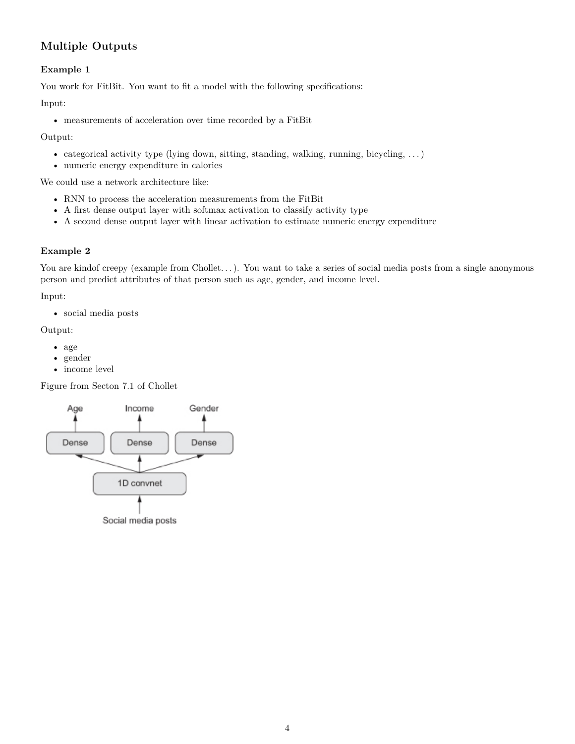## **Multiple Outputs**

### **Example 1**

You work for FitBit. You want to fit a model with the following specifications:

Input:

• measurements of acceleration over time recorded by a FitBit

Output:

- categorical activity type (lying down, sitting, standing, walking, running, bicycling, . . . )
- numeric energy expenditure in calories

We could use a network architecture like:

- RNN to process the acceleration measurements from the FitBit
- A first dense output layer with softmax activation to classify activity type
- A second dense output layer with linear activation to estimate numeric energy expenditure

### **Example 2**

You are kindof creepy (example from Chollet...). You want to take a series of social media posts from a single anonymous person and predict attributes of that person such as age, gender, and income level.

Input:

• social media posts

Output:

- age
- gender
- income level

Figure from Secton 7.1 of Chollet